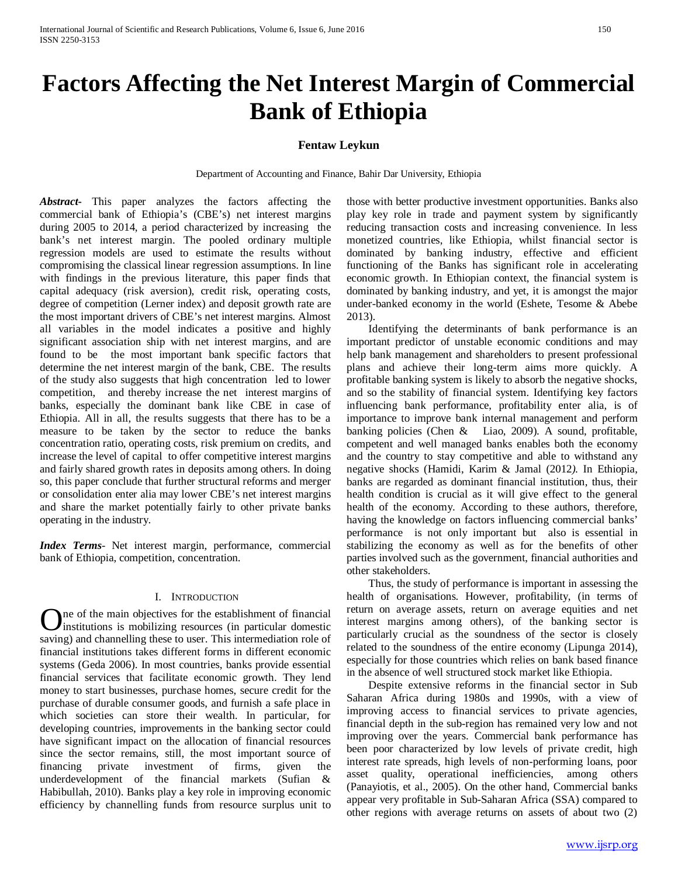# **Factors Affecting the Net Interest Margin of Commercial Bank of Ethiopia**

# **Fentaw Leykun**

Department of Accounting and Finance, Bahir Dar University, Ethiopia

*Abstract***-** This paper analyzes the factors affecting the commercial bank of Ethiopia's (CBE's) net interest margins during 2005 to 2014, a period characterized by increasing the bank's net interest margin. The pooled ordinary multiple regression models are used to estimate the results without compromising the classical linear regression assumptions. In line with findings in the previous literature, this paper finds that capital adequacy (risk aversion), credit risk, operating costs, degree of competition (Lerner index) and deposit growth rate are the most important drivers of CBE's net interest margins. Almost all variables in the model indicates a positive and highly significant association ship with net interest margins, and are found to be the most important bank specific factors that determine the net interest margin of the bank, CBE. The results of the study also suggests that high concentration led to lower competition, and thereby increase the net interest margins of banks, especially the dominant bank like CBE in case of Ethiopia. All in all, the results suggests that there has to be a measure to be taken by the sector to reduce the banks concentration ratio, operating costs, risk premium on credits, and increase the level of capital to offer competitive interest margins and fairly shared growth rates in deposits among others. In doing so, this paper conclude that further structural reforms and merger or consolidation enter alia may lower CBE's net interest margins and share the market potentially fairly to other private banks operating in the industry.

*Index Terms*- Net interest margin, performance, commercial bank of Ethiopia, competition, concentration.

# I. INTRODUCTION

<span id="page-0-0"></span>ne of the main objectives for the establishment of financial institutions is mobilizing resources (in particular domestic **C** institutions is mobilizing resources (in particular domestic saving) and channelling these to user. This intermediation role of financial institutions takes different forms in different economic systems (Geda 2006). In most countries, banks provide essential financial services that facilitate economic growth. They lend money to start businesses, purchase homes, secure credit for the purchase of durable consumer goods, and furnish a safe place in which societies can store their wealth. In particular, for developing countries, improvements in the banking sector could have significant impact on the allocation of financial resources since the sector remains, still, the most important source of financing private investment of firms, given the underdevelopment of the financial markets (Sufian & Habibullah, 2010). Banks play a key role in improving economic efficiency by channelling funds from resource surplus unit to

those with better productive investment opportunities. Banks also play key role in trade and payment system by significantly reducing transaction costs and increasing convenience. In less monetized countries, like Ethiopia, whilst financial sector is dominated by banking industry, effective and efficient functioning of the Banks has significant role in accelerating economic growth. In Ethiopian context, the financial system is dominated by banking industry, and yet, it is amongst the major under-banked economy in the world (Eshete, Tesome & Abebe 2013).

 Identifying the determinants of bank performance is an important predictor of unstable economic conditions and may help bank management and shareholders to present professional plans and achieve their long-term aims more quickly. A profitable banking system is likely to absorb the negative shocks, and so the stability of financial system. Identifying key factors influencing bank performance, profitability enter alia, is of importance to improve bank internal management and perform banking policies (Chen & Liao, 2009). A sound, profitable, competent and well managed banks enables both the economy and the country to stay competitive and able to withstand any negative shocks (Hamidi, Karim & Jamal (2012*).* In Ethiopia, banks are regarded as dominant financial institution, thus, their health condition is crucial as it will give effect to the general health of the economy. According to these authors, therefore, having the knowledge on factors influencing commercial banks' performance is not only important but also is essential in stabilizing the economy as well as for the benefits of other parties involved such as the government, financial authorities and other stakeholders.

 Thus, the study of performance is important in assessing the health of organisations. However, profitability, (in terms of return on average assets, return on average equities and net interest margins among others), of the banking sector is particularly crucial as the soundness of the sector is closely related to the soundness of the entire economy (Lipunga 2014), especially for those countries which relies on bank based finance in the absence of well structured stock market like Ethiopia.

 Despite extensive reforms in the financial sector in Sub Saharan Africa during 1980s and 1990s, with a view of improving access to financial services to private agencies, financial depth in the sub-region has remained very low and not improving over the years. Commercial bank performance has been poor characterized by low levels of private credit, high interest rate spreads, high levels of non-performing loans, poor asset quality, operational inefficiencies, among others (Panayiotis, et al., 2005). On the other hand, Commercial banks appear very profitable in Sub-Saharan Africa (SSA) compared to other regions with average returns on assets of about two (2)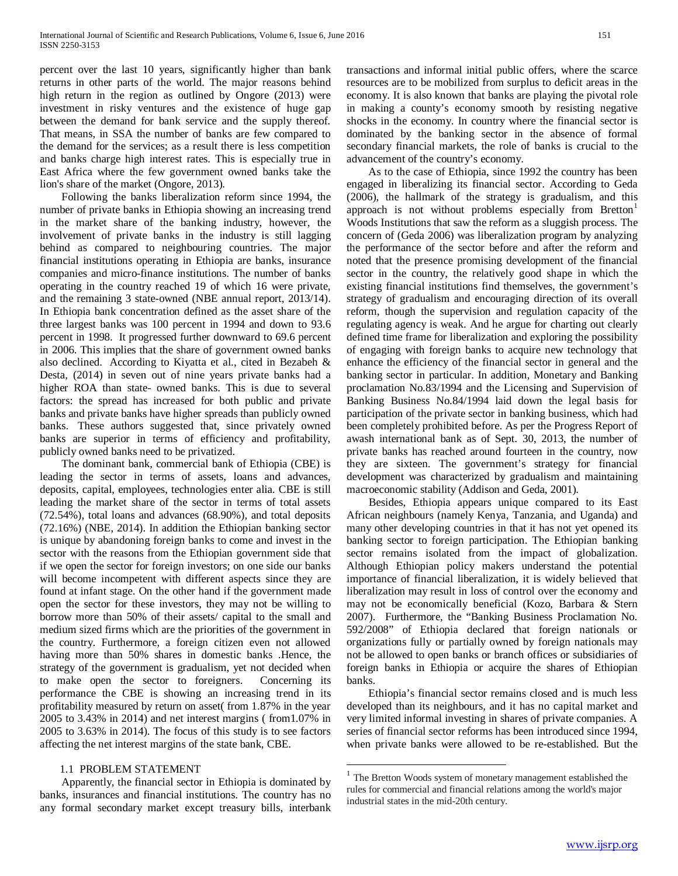percent over the last 10 years, significantly higher than bank returns in other parts of the world. The major reasons behind high return in the region as outlined by Ongore (2013) were investment in risky ventures and the existence of huge gap between the demand for bank service and the supply thereof. That means, in SSA the number of banks are few compared to the demand for the services; as a result there is less competition and banks charge high interest rates. This is especially true in East Africa where the few government owned banks take the lion's share of the market (Ongore, 2013).

 Following the banks liberalization reform since 1994, the number of private banks in Ethiopia showing an increasing trend in the market share of the banking industry, however, the involvement of private banks in the industry is still lagging behind as compared to neighbouring countries. The major financial institutions operating in Ethiopia are banks, insurance companies and micro-finance institutions. The number of banks operating in the country reached 19 of which 16 were private, and the remaining 3 state-owned (NBE annual report, 2013/14). In Ethiopia bank concentration defined as the asset share of the three largest banks was 100 percent in 1994 and down to 93.6 percent in 1998. It progressed further downward to 69.6 percent in 2006. This implies that the share of government owned banks also declined. According to Kiyatta et al., cited in Bezabeh & Desta, (2014) in seven out of nine years private banks had a higher ROA than state- owned banks. This is due to several factors: the spread has increased for both public and private banks and private banks have higher spreads than publicly owned banks. These authors suggested that, since privately owned banks are superior in terms of efficiency and profitability, publicly owned banks need to be privatized.

 The dominant bank, commercial bank of Ethiopia (CBE) is leading the sector in terms of assets, loans and advances, deposits, capital, employees, technologies enter alia. CBE is still leading the market share of the sector in terms of total assets (72.54%), total loans and advances (68.90%), and total deposits (72.16%) (NBE, 2014). In addition the Ethiopian banking sector is unique by abandoning foreign banks to come and invest in the sector with the reasons from the Ethiopian government side that if we open the sector for foreign investors; on one side our banks will become incompetent with different aspects since they are found at infant stage. On the other hand if the government made open the sector for these investors, they may not be willing to borrow more than 50% of their assets/ capital to the small and medium sized firms which are the priorities of the government in the country. Furthermore, a foreign citizen even not allowed having more than 50% shares in domestic banks .Hence, the strategy of the government is gradualism, yet not decided when to make open the sector to foreigners. Concerning its performance the CBE is showing an increasing trend in its profitability measured by return on asset( from 1.87% in the year 2005 to 3.43% in 2014) and net interest margins ( from1.07% in 2005 to 3.63% in 2014). The focus of this study is to see factors affecting the net interest margins of the state bank, CBE.

## 1.1 PROBLEM STATEMENT

<span id="page-1-0"></span> Apparently, the financial sector in Ethiopia is dominated by banks, insurances and financial institutions. The country has no any formal secondary market except treasury bills, interbank transactions and informal initial public offers, where the scarce resources are to be mobilized from surplus to deficit areas in the economy. It is also known that banks are playing the pivotal role in making a county's economy smooth by resisting negative shocks in the economy. In country where the financial sector is dominated by the banking sector in the absence of formal secondary financial markets, the role of banks is crucial to the advancement of the country's economy.

 As to the case of Ethiopia, since 1992 the country has been engaged in liberalizing its financial sector. According to Geda (2006), the hallmark of the strategy is gradualism, and this approach is not without problems especially from Bretton<sup>[1](#page-0-0)</sup> Woods Institutions that saw the reform as a sluggish process. The concern of (Geda 2006) was liberalization program by analyzing the performance of the sector before and after the reform and noted that the presence promising development of the financial sector in the country, the relatively good shape in which the existing financial institutions find themselves, the government's strategy of gradualism and encouraging direction of its overall reform, though the supervision and regulation capacity of the regulating agency is weak. And he argue for charting out clearly defined time frame for liberalization and exploring the possibility of engaging with foreign banks to acquire new technology that enhance the efficiency of the financial sector in general and the banking sector in particular. In addition, Monetary and Banking proclamation No.83/1994 and the Licensing and Supervision of Banking Business No.84/1994 laid down the legal basis for participation of the private sector in banking business, which had been completely prohibited before. As per the Progress Report of awash international bank as of Sept. 30, 2013, the number of private banks has reached around fourteen in the country, now they are sixteen. The government's strategy for financial development was characterized by gradualism and maintaining macroeconomic stability (Addison and Geda, 2001).

 Besides, Ethiopia appears unique compared to its East African neighbours (namely Kenya, Tanzania, and Uganda) and many other developing countries in that it has not yet opened its banking sector to foreign participation. The Ethiopian banking sector remains isolated from the impact of globalization. Although Ethiopian policy makers understand the potential importance of financial liberalization, it is widely believed that liberalization may result in loss of control over the economy and may not be economically beneficial (Kozo, Barbara & Stern 2007). Furthermore, the "Banking Business Proclamation No. 592/2008" of Ethiopia declared that foreign nationals or organizations fully or partially owned by foreign nationals may not be allowed to open banks or branch offices or subsidiaries of foreign banks in Ethiopia or acquire the shares of Ethiopian banks.

 Ethiopia's financial sector remains closed and is much less developed than its neighbours, and it has no capital market and very limited informal investing in shares of private companies. A series of financial sector reforms has been introduced since 1994, when private banks were allowed to be re-established. But the

 $1$  The Bretton Woods system of monetary management established the rules for commercial and financial relations among the world's major industrial states in the mid-20th century.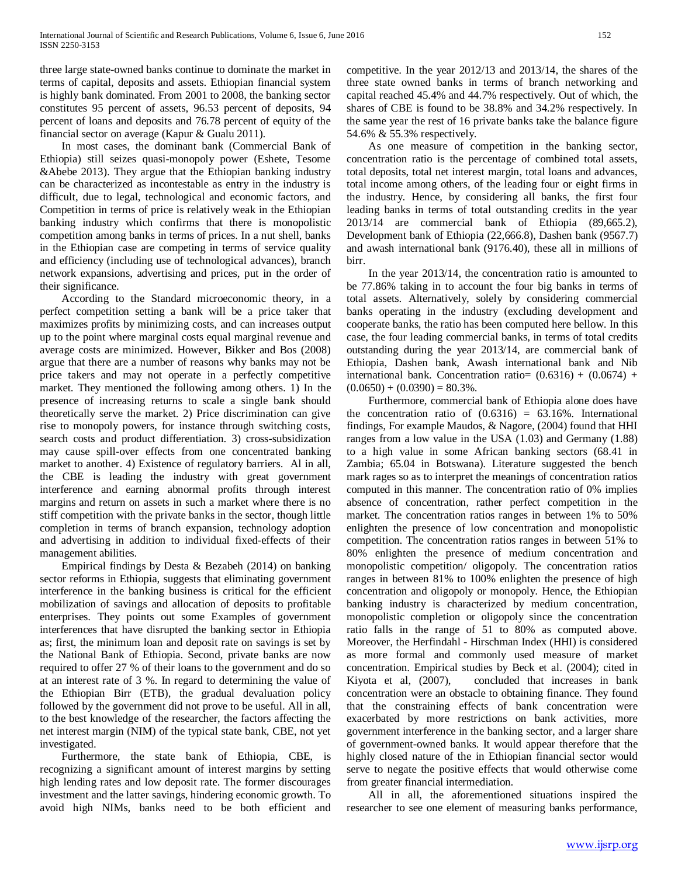three large state-owned banks continue to dominate the market in terms of capital, deposits and assets. Ethiopian financial system is highly bank dominated. From 2001 to 2008, the banking sector constitutes 95 percent of assets, 96.53 percent of deposits, 94 percent of loans and deposits and 76.78 percent of equity of the financial sector on average (Kapur & Gualu 2011).

 In most cases, the dominant bank (Commercial Bank of Ethiopia) still seizes quasi-monopoly power (Eshete, Tesome &Abebe 2013). They argue that the Ethiopian banking industry can be characterized as incontestable as entry in the industry is difficult, due to legal, technological and economic factors, and Competition in terms of price is relatively weak in the Ethiopian banking industry which confirms that there is monopolistic competition among banks in terms of prices. In a nut shell, banks in the Ethiopian case are competing in terms of service quality and efficiency (including use of technological advances), branch network expansions, advertising and prices, put in the order of their significance.

 According to the Standard microeconomic theory, in a perfect competition setting a bank will be a price taker that maximizes profits by minimizing costs, and can increases output up to the point where marginal costs equal marginal revenue and average costs are minimized. However, Bikker and Bos (2008) argue that there are a number of reasons why banks may not be price takers and may not operate in a perfectly competitive market. They mentioned the following among others. 1) In the presence of increasing returns to scale a single bank should theoretically serve the market. 2) Price discrimination can give rise to monopoly powers, for instance through switching costs, search costs and product differentiation. 3) cross-subsidization may cause spill-over effects from one concentrated banking market to another. 4) Existence of regulatory barriers. Al in all, the CBE is leading the industry with great government interference and earning abnormal profits through interest margins and return on assets in such a market where there is no stiff competition with the private banks in the sector, though little completion in terms of branch expansion, technology adoption and advertising in addition to individual fixed-effects of their management abilities.

 Empirical findings by Desta & Bezabeh (2014) on banking sector reforms in Ethiopia, suggests that eliminating government interference in the banking business is critical for the efficient mobilization of savings and allocation of deposits to profitable enterprises. They points out some Examples of government interferences that have disrupted the banking sector in Ethiopia as; first, the minimum loan and deposit rate on savings is set by the National Bank of Ethiopia. Second, private banks are now required to offer 27 % of their loans to the government and do so at an interest rate of 3 %. In regard to determining the value of the Ethiopian Birr (ETB), the gradual devaluation policy followed by the government did not prove to be useful. All in all, to the best knowledge of the researcher, the factors affecting the net interest margin (NIM) of the typical state bank, CBE, not yet investigated.

 Furthermore, the state bank of Ethiopia, CBE, is recognizing a significant amount of interest margins by setting high lending rates and low deposit rate. The former discourages investment and the latter savings, hindering economic growth. To avoid high NIMs, banks need to be both efficient and competitive. In the year 2012/13 and 2013/14, the shares of the three state owned banks in terms of branch networking and capital reached 45.4% and 44.7% respectively. Out of which, the shares of CBE is found to be 38.8% and 34.2% respectively. In the same year the rest of 16 private banks take the balance figure 54.6% & 55.3% respectively.

 As one measure of competition in the banking sector, concentration ratio is the percentage of combined total assets, total deposits, total net interest margin, total loans and advances, total income among others, of the leading four or eight firms in the industry. Hence, by considering all banks, the first four leading banks in terms of total outstanding credits in the year 2013/14 are commercial bank of Ethiopia (89,665.2), Development bank of Ethiopia (22,666.8), Dashen bank (9567.7) and awash international bank (9176.40), these all in millions of birr.

 In the year 2013/14, the concentration ratio is amounted to be 77.86% taking in to account the four big banks in terms of total assets. Alternatively, solely by considering commercial banks operating in the industry (excluding development and cooperate banks, the ratio has been computed here bellow. In this case, the four leading commercial banks, in terms of total credits outstanding during the year 2013/14, are commercial bank of Ethiopia, Dashen bank, Awash international bank and Nib international bank. Concentration ratio=  $(0.6316) + (0.0674) +$  $(0.0650) + (0.0390) = 80.3\%$ .

 Furthermore, commercial bank of Ethiopia alone does have the concentration ratio of  $(0.6316) = 63.16\%$ . International findings, For example Maudos, & Nagore, (2004) found that HHI ranges from a low value in the USA (1.03) and Germany (1.88) to a high value in some African banking sectors (68.41 in Zambia; 65.04 in Botswana). Literature suggested the bench mark rages so as to interpret the meanings of concentration ratios computed in this manner. The concentration ratio of 0% implies absence of concentration, rather perfect competition in the market. The concentration ratios ranges in between 1% to 50% enlighten the presence of low concentration and monopolistic competition. The concentration ratios ranges in between 51% to 80% enlighten the presence of medium concentration and monopolistic competition/ oligopoly. The concentration ratios ranges in between 81% to 100% enlighten the presence of high concentration and oligopoly or monopoly. Hence, the Ethiopian banking industry is characterized by medium concentration, monopolistic completion or oligopoly since the concentration ratio falls in the range of 51 to 80% as computed above. Moreover, the Herfindahl - Hirschman Index (HHI) is considered as more formal and commonly used measure of market concentration. Empirical studies by Beck et al. (2004); cited in Kiyota et al, (2007), concluded that increases in bank concentration were an obstacle to obtaining finance. They found that the constraining effects of bank concentration were exacerbated by more restrictions on bank activities, more government interference in the banking sector, and a larger share of government-owned banks. It would appear therefore that the highly closed nature of the in Ethiopian financial sector would serve to negate the positive effects that would otherwise come from greater financial intermediation.

 All in all, the aforementioned situations inspired the researcher to see one element of measuring banks performance,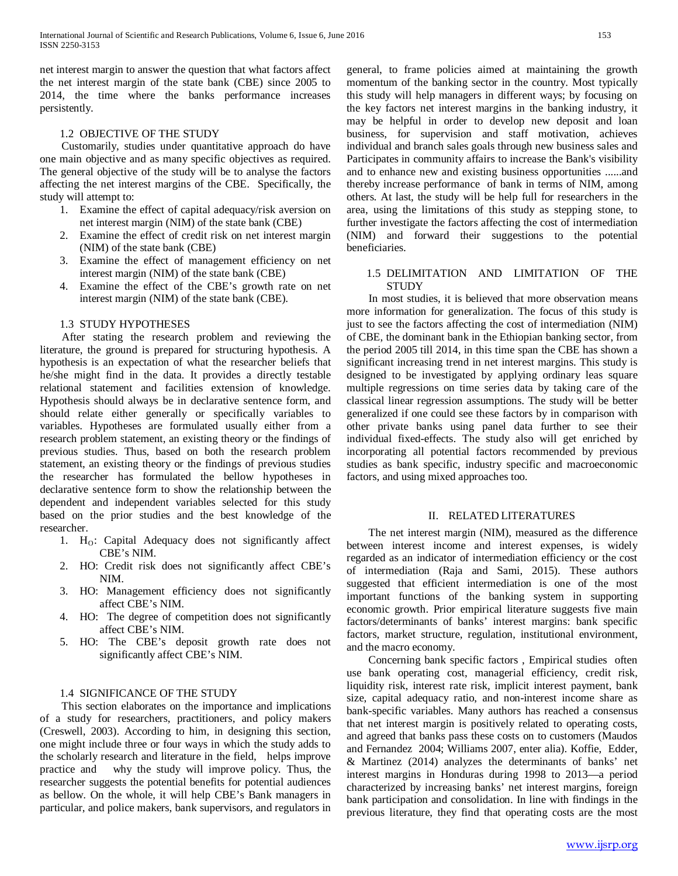net interest margin to answer the question that what factors affect the net interest margin of the state bank (CBE) since 2005 to 2014, the time where the banks performance increases persistently.

## 1.2 OBJECTIVE OF THE STUDY

 Customarily, studies under quantitative approach do have one main objective and as many specific objectives as required. The general objective of the study will be to analyse the factors affecting the net interest margins of the CBE. Specifically, the study will attempt to:

- 1. Examine the effect of capital adequacy/risk aversion on net interest margin (NIM) of the state bank (CBE)
- 2. Examine the effect of credit risk on net interest margin (NIM) of the state bank (CBE)
- 3. Examine the effect of management efficiency on net interest margin (NIM) of the state bank (CBE)
- 4. Examine the effect of the CBE's growth rate on net interest margin (NIM) of the state bank (CBE).

## 1.3 STUDY HYPOTHESES

 After stating the research problem and reviewing the literature, the ground is prepared for structuring hypothesis. A hypothesis is an expectation of what the researcher beliefs that he/she might find in the data. It provides a directly testable relational statement and facilities extension of knowledge. Hypothesis should always be in declarative sentence form, and should relate either generally or specifically variables to variables. Hypotheses are formulated usually either from a research problem statement, an existing theory or the findings of previous studies. Thus, based on both the research problem statement, an existing theory or the findings of previous studies the researcher has formulated the bellow hypotheses in declarative sentence form to show the relationship between the dependent and independent variables selected for this study based on the prior studies and the best knowledge of the researcher.

- 1. H<sub>O</sub>: Capital Adequacy does not significantly affect CBE's NIM.
- 2. HO: Credit risk does not significantly affect CBE's NIM.
- 3. HO: Management efficiency does not significantly affect CBE's NIM.
- 4. HO: The degree of competition does not significantly affect CBE's NIM.
- 5. HO: The CBE's deposit growth rate does not significantly affect CBE's NIM.

# 1.4 SIGNIFICANCE OF THE STUDY

 This section elaborates on the importance and implications of a study for researchers, practitioners, and policy makers (Creswell, 2003). According to him, in designing this section, one might include three or four ways in which the study adds to the scholarly research and literature in the field, helps improve practice and why the study will improve policy. Thus, the researcher suggests the potential benefits for potential audiences as bellow. On the whole, it will help CBE's Bank managers in particular, and police makers, bank supervisors, and regulators in general, to frame policies aimed at maintaining the growth momentum of the banking sector in the country. Most typically this study will help managers in different ways; by focusing on the key factors net interest margins in the banking industry, it may be helpful in order to develop new deposit and loan business, for supervision and staff motivation, achieves individual and branch sales goals through new business sales and Participates in community affairs to increase the Bank's visibility and to enhance new and existing business opportunities ......and thereby increase performance of bank in terms of NIM, among others. At last, the study will be help full for researchers in the area, using the limitations of this study as stepping stone, to further investigate the factors affecting the cost of intermediation (NIM) and forward their suggestions to the potential beneficiaries.

## 1.5 DELIMITATION AND LIMITATION OF THE **STUDY**

 In most studies, it is believed that more observation means more information for generalization. The focus of this study is just to see the factors affecting the cost of intermediation (NIM) of CBE, the dominant bank in the Ethiopian banking sector, from the period 2005 till 2014, in this time span the CBE has shown a significant increasing trend in net interest margins. This study is designed to be investigated by applying ordinary leas square multiple regressions on time series data by taking care of the classical linear regression assumptions. The study will be better generalized if one could see these factors by in comparison with other private banks using panel data further to see their individual fixed-effects. The study also will get enriched by incorporating all potential factors recommended by previous studies as bank specific, industry specific and macroeconomic factors, and using mixed approaches too.

## II. RELATED LITERATURES

 The net interest margin (NIM), measured as the difference between interest income and interest expenses, is widely regarded as an indicator of intermediation efficiency or the cost of intermediation (Raja and Sami, 2015). These authors suggested that efficient intermediation is one of the most important functions of the banking system in supporting economic growth. Prior empirical literature suggests five main factors/determinants of banks' interest margins: bank specific factors, market structure, regulation, institutional environment, and the macro economy.

 Concerning bank specific factors , Empirical studies often use bank operating cost, managerial efficiency, credit risk, liquidity risk, interest rate risk, implicit interest payment, bank size, capital adequacy ratio, and non-interest income share as bank-specific variables. Many authors has reached a consensus that net interest margin is positively related to operating costs, and agreed that banks pass these costs on to customers (Maudos and Fernandez 2004; Williams 2007, enter alia). Koffie, Edder, & Martinez (2014) analyzes the determinants of banks' net interest margins in Honduras during 1998 to 2013—a period characterized by increasing banks' net interest margins, foreign bank participation and consolidation. In line with findings in the previous literature, they find that operating costs are the most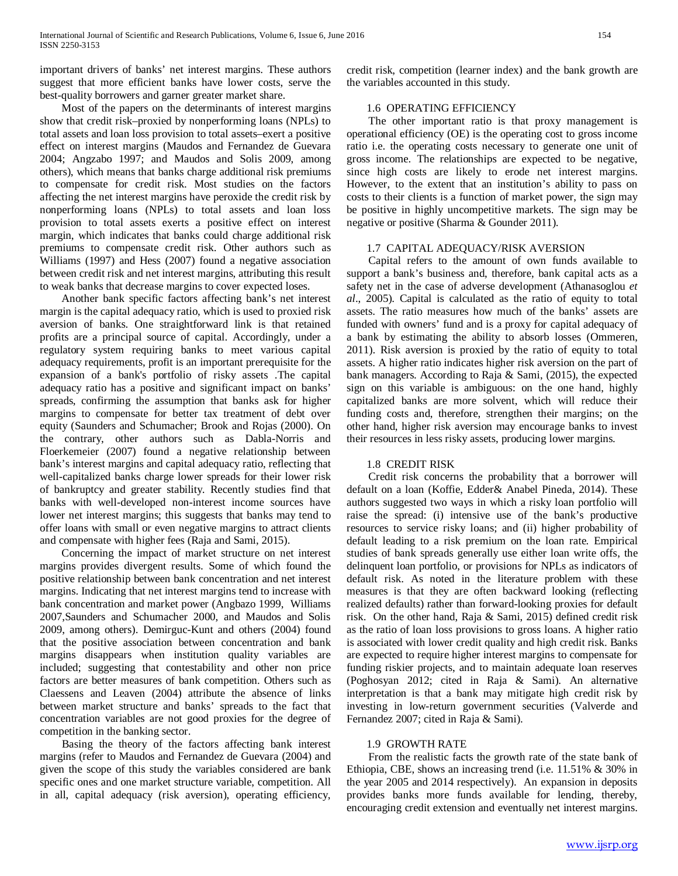important drivers of banks' net interest margins. These authors suggest that more efficient banks have lower costs, serve the best-quality borrowers and garner greater market share.

 Most of the papers on the determinants of interest margins show that credit risk–proxied by nonperforming loans (NPLs) to total assets and loan loss provision to total assets–exert a positive effect on interest margins (Maudos and Fernandez de Guevara 2004; Angzabo 1997; and Maudos and Solis 2009, among others), which means that banks charge additional risk premiums to compensate for credit risk. Most studies on the factors affecting the net interest margins have peroxide the credit risk by nonperforming loans (NPLs) to total assets and loan loss provision to total assets exerts a positive effect on interest margin, which indicates that banks could charge additional risk premiums to compensate credit risk. Other authors such as Williams (1997) and Hess (2007) found a negative association between credit risk and net interest margins, attributing this result to weak banks that decrease margins to cover expected loses.

 Another bank specific factors affecting bank's net interest margin is the capital adequacy ratio, which is used to proxied risk aversion of banks. One straightforward link is that retained profits are a principal source of capital. Accordingly, under a regulatory system requiring banks to meet various capital adequacy requirements, profit is an important prerequisite for the expansion of a bank's portfolio of risky assets .The capital adequacy ratio has a positive and significant impact on banks' spreads, confirming the assumption that banks ask for higher margins to compensate for better tax treatment of debt over equity (Saunders and Schumacher; Brook and Rojas (2000). On the contrary, other authors such as Dabla-Norris and Floerkemeier (2007) found a negative relationship between bank's interest margins and capital adequacy ratio, reflecting that well-capitalized banks charge lower spreads for their lower risk of bankruptcy and greater stability. Recently studies find that banks with well-developed non-interest income sources have lower net interest margins; this suggests that banks may tend to offer loans with small or even negative margins to attract clients and compensate with higher fees (Raja and Sami, 2015).

 Concerning the impact of market structure on net interest margins provides divergent results. Some of which found the positive relationship between bank concentration and net interest margins. Indicating that net interest margins tend to increase with bank concentration and market power (Angbazo 1999, Williams 2007,Saunders and Schumacher 2000, and Maudos and Solis 2009, among others). Demirguc-Kunt and others (2004) found that the positive association between concentration and bank margins disappears when institution quality variables are included; suggesting that contestability and other non price factors are better measures of bank competition. Others such as Claessens and Leaven (2004) attribute the absence of links between market structure and banks' spreads to the fact that concentration variables are not good proxies for the degree of competition in the banking sector.

 Basing the theory of the factors affecting bank interest margins (refer to Maudos and Fernandez de Guevara (2004) and given the scope of this study the variables considered are bank specific ones and one market structure variable, competition. All in all, capital adequacy (risk aversion), operating efficiency,

credit risk, competition (learner index) and the bank growth are the variables accounted in this study.

## 1.6 OPERATING EFFICIENCY

 The other important ratio is that proxy management is operational efficiency (OE) is the operating cost to gross income ratio i.e. the operating costs necessary to generate one unit of gross income. The relationships are expected to be negative, since high costs are likely to erode net interest margins. However, to the extent that an institution's ability to pass on costs to their clients is a function of market power, the sign may be positive in highly uncompetitive markets. The sign may be negative or positive (Sharma & Gounder 2011).

## 1.7 CAPITAL ADEQUACY/RISK AVERSION

 Capital refers to the amount of own funds available to support a bank's business and, therefore, bank capital acts as a safety net in the case of adverse development (Athanasoglou *et al*., 2005). Capital is calculated as the ratio of equity to total assets. The ratio measures how much of the banks' assets are funded with owners' fund and is a proxy for capital adequacy of a bank by estimating the ability to absorb losses (Ommeren, 2011). Risk aversion is proxied by the ratio of equity to total assets. A higher ratio indicates higher risk aversion on the part of bank managers. According to Raja & Sami, (2015), the expected sign on this variable is ambiguous: on the one hand, highly capitalized banks are more solvent, which will reduce their funding costs and, therefore, strengthen their margins; on the other hand, higher risk aversion may encourage banks to invest their resources in less risky assets, producing lower margins.

## 1.8 CREDIT RISK

 Credit risk concerns the probability that a borrower will default on a loan (Koffie, Edder& Anabel Pineda, 2014). These authors suggested two ways in which a risky loan portfolio will raise the spread: (i) intensive use of the bank's productive resources to service risky loans; and (ii) higher probability of default leading to a risk premium on the loan rate. Empirical studies of bank spreads generally use either loan write offs, the delinquent loan portfolio, or provisions for NPLs as indicators of default risk. As noted in the literature problem with these measures is that they are often backward looking (reflecting realized defaults) rather than forward-looking proxies for default risk. On the other hand, Raja & Sami, 2015) defined credit risk as the ratio of loan loss provisions to gross loans. A higher ratio is associated with lower credit quality and high credit risk. Banks are expected to require higher interest margins to compensate for funding riskier projects, and to maintain adequate loan reserves (Poghosyan 2012; cited in Raja & Sami). An alternative interpretation is that a bank may mitigate high credit risk by investing in low-return government securities (Valverde and Fernandez 2007; cited in Raja & Sami).

## 1.9 GROWTH RATE

 From the realistic facts the growth rate of the state bank of Ethiopia, CBE, shows an increasing trend (i.e. 11.51% & 30% in the year 2005 and 2014 respectively). An expansion in deposits provides banks more funds available for lending, thereby, encouraging credit extension and eventually net interest margins.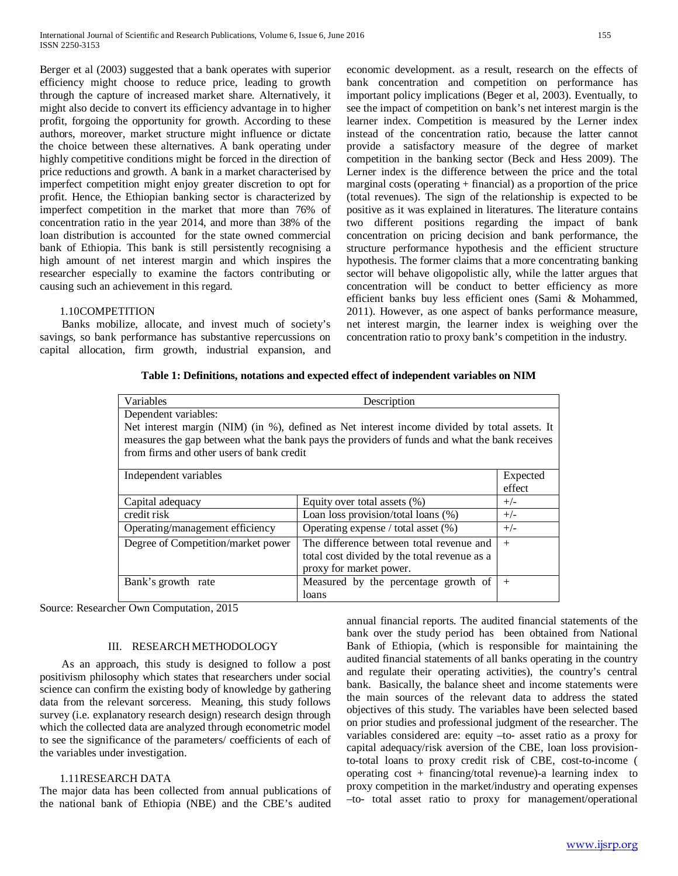Berger et al (2003) suggested that a bank operates with superior efficiency might choose to reduce price, leading to growth through the capture of increased market share. Alternatively, it might also decide to convert its efficiency advantage in to higher profit, forgoing the opportunity for growth. According to these authors, moreover, market structure might influence or dictate the choice between these alternatives. A bank operating under highly competitive conditions might be forced in the direction of price reductions and growth. A bank in a market characterised by imperfect competition might enjoy greater discretion to opt for profit. Hence, the Ethiopian banking sector is characterized by imperfect competition in the market that more than 76% of concentration ratio in the year 2014, and more than 38% of the loan distribution is accounted for the state owned commercial bank of Ethiopia. This bank is still persistently recognising a high amount of net interest margin and which inspires the researcher especially to examine the factors contributing or causing such an achievement in this regard.

## 1.10COMPETITION

 Banks mobilize, allocate, and invest much of society's savings, so bank performance has substantive repercussions on capital allocation, firm growth, industrial expansion, and economic development. as a result, research on the effects of bank concentration and competition on performance has important policy implications (Beger et al, 2003). Eventually, to see the impact of competition on bank's net interest margin is the learner index. Competition is measured by the Lerner index instead of the concentration ratio, because the latter cannot provide a satisfactory measure of the degree of market competition in the banking sector (Beck and Hess 2009). The Lerner index is the difference between the price and the total marginal costs (operating  $+$  financial) as a proportion of the price (total revenues). The sign of the relationship is expected to be positive as it was explained in literatures. The literature contains two different positions regarding the impact of bank concentration on pricing decision and bank performance, the structure performance hypothesis and the efficient structure hypothesis. The former claims that a more concentrating banking sector will behave oligopolistic ally, while the latter argues that concentration will be conduct to better efficiency as more efficient banks buy less efficient ones (Sami & Mohammed, 2011). However, as one aspect of banks performance measure, net interest margin, the learner index is weighing over the concentration ratio to proxy bank's competition in the industry.

## **Table 1: Definitions, notations and expected effect of independent variables on NIM**

| Variables                                                                                                                                                                                                                                  | Description                                  |        |  |  |
|--------------------------------------------------------------------------------------------------------------------------------------------------------------------------------------------------------------------------------------------|----------------------------------------------|--------|--|--|
| Dependent variables:                                                                                                                                                                                                                       |                                              |        |  |  |
| Net interest margin (NIM) (in %), defined as Net interest income divided by total assets. It<br>measures the gap between what the bank pays the providers of funds and what the bank receives<br>from firms and other users of bank credit |                                              |        |  |  |
| Independent variables<br>Expected                                                                                                                                                                                                          |                                              |        |  |  |
| effect                                                                                                                                                                                                                                     |                                              |        |  |  |
| Capital adequacy                                                                                                                                                                                                                           | Equity over total assets $(\%)$              | $+/-$  |  |  |
| credit risk                                                                                                                                                                                                                                | Loan loss provision/total loans (%)          | $+/-$  |  |  |
| Operating/management efficiency                                                                                                                                                                                                            | Operating expense / total asset (%)          | $+/-$  |  |  |
| Degree of Competition/market power                                                                                                                                                                                                         | The difference between total revenue and     | $^{+}$ |  |  |
|                                                                                                                                                                                                                                            | total cost divided by the total revenue as a |        |  |  |
|                                                                                                                                                                                                                                            | proxy for market power.                      |        |  |  |
| Bank's growth rate                                                                                                                                                                                                                         | Measured by the percentage growth of         | $^{+}$ |  |  |
|                                                                                                                                                                                                                                            | loans                                        |        |  |  |

Source: Researcher Own Computation, 2015

## III. RESEARCH METHODOLOGY

 As an approach, this study is designed to follow a post positivism philosophy which states that researchers under social science can confirm the existing body of knowledge by gathering data from the relevant sorceress. Meaning, this study follows survey (i.e. explanatory research design) research design through which the collected data are analyzed through econometric model to see the significance of the parameters/ coefficients of each of the variables under investigation.

# 1.11RESEARCH DATA

The major data has been collected from annual publications of the national bank of Ethiopia (NBE) and the CBE's audited annual financial reports. The audited financial statements of the bank over the study period has been obtained from National Bank of Ethiopia, (which is responsible for maintaining the audited financial statements of all banks operating in the country and regulate their operating activities), the country's central bank. Basically, the balance sheet and income statements were the main sources of the relevant data to address the stated objectives of this study. The variables have been selected based on prior studies and professional judgment of the researcher. The variables considered are: equity –to- asset ratio as a proxy for capital adequacy/risk aversion of the CBE, loan loss provisionto-total loans to proxy credit risk of CBE, cost-to-income ( operating cost + financing/total revenue)-a learning index to proxy competition in the market/industry and operating expenses –to- total asset ratio to proxy for management/operational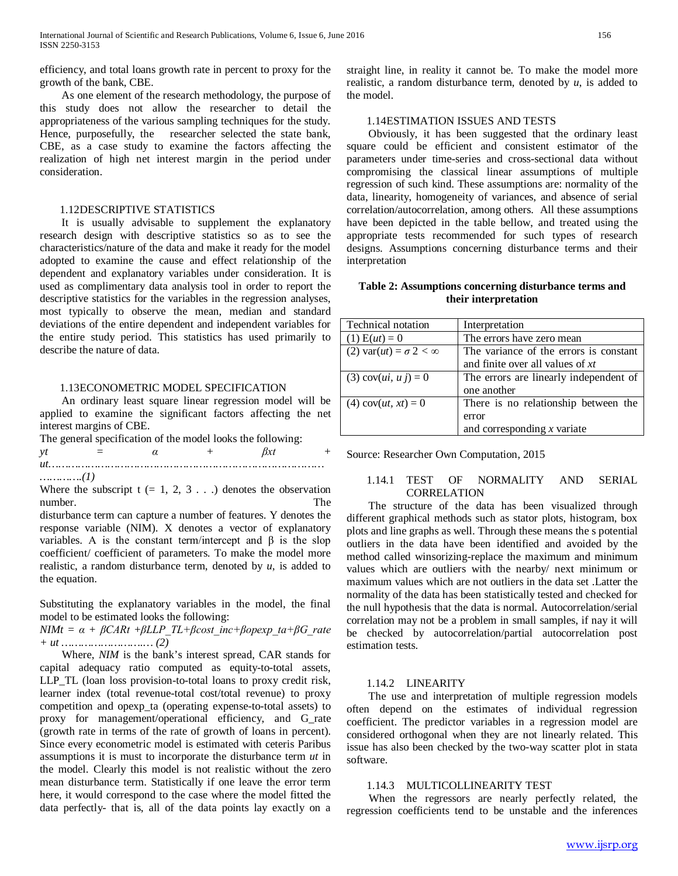efficiency, and total loans growth rate in percent to proxy for the growth of the bank, CBE.

 As one element of the research methodology, the purpose of this study does not allow the researcher to detail the appropriateness of the various sampling techniques for the study. Hence, purposefully, the researcher selected the state bank, CBE, as a case study to examine the factors affecting the realization of high net interest margin in the period under consideration.

### 1.12DESCRIPTIVE STATISTICS

 It is usually advisable to supplement the explanatory research design with descriptive statistics so as to see the characteristics/nature of the data and make it ready for the model adopted to examine the cause and effect relationship of the dependent and explanatory variables under consideration. It is used as complimentary data analysis tool in order to report the descriptive statistics for the variables in the regression analyses, most typically to observe the mean, median and standard deviations of the entire dependent and independent variables for the entire study period. This statistics has used primarily to describe the nature of data.

#### 1.13ECONOMETRIC MODEL SPECIFICATION

 An ordinary least square linear regression model will be applied to examine the significant factors affecting the net interest margins of CBE.

|                                   |                                   |                | The general specification of the model looks the following: |  |
|-----------------------------------|-----------------------------------|----------------|-------------------------------------------------------------|--|
| νt                                | and the state of the state of the | $\alpha$ + Bxt |                                                             |  |
|                                   |                                   |                |                                                             |  |
| $\ldots \ldots \ldots \ldots (1)$ |                                   |                |                                                             |  |

Where the subscript  $t = 1, 2, 3...$  denotes the observation number. The state of the state of the state of the state of the state of the state of the state of the state of the state of the state of the state of the state of the state of the state of the state of the state of the st

disturbance term can capture a number of features. Y denotes the response variable (NIM). X denotes a vector of explanatory variables. A is the constant term/intercept and  $\beta$  is the slop coefficient/ coefficient of parameters. To make the model more realistic, a random disturbance term, denoted by *u*, is added to the equation.

Substituting the explanatory variables in the model, the final model to be estimated looks the following:

*NIMt* =  $\alpha$  +  $\beta$ *CARt* + $\beta$ *LLP TL*+ $\beta$ *cost inc*+ $\beta$ *opexp ta*+ $\beta$ *G rate + ut …………………….… (2)*

 Where, *NIM* is the bank's interest spread, CAR stands for capital adequacy ratio computed as equity-to-total assets, LLP\_TL (loan loss provision-to-total loans to proxy credit risk, learner index (total revenue-total cost/total revenue) to proxy competition and opexp\_ta (operating expense-to-total assets) to proxy for management/operational efficiency, and G\_rate (growth rate in terms of the rate of growth of loans in percent). Since every econometric model is estimated with ceteris Paribus assumptions it is must to incorporate the disturbance term *ut* in the model. Clearly this model is not realistic without the zero mean disturbance term. Statistically if one leave the error term here, it would correspond to the case where the model fitted the data perfectly- that is, all of the data points lay exactly on a straight line, in reality it cannot be. To make the model more realistic, a random disturbance term, denoted by *u*, is added to the model.

## 1.14ESTIMATION ISSUES AND TESTS

 Obviously, it has been suggested that the ordinary least square could be efficient and consistent estimator of the parameters under time-series and cross-sectional data without compromising the classical linear assumptions of multiple regression of such kind. These assumptions are: normality of the data, linearity, homogeneity of variances, and absence of serial correlation/autocorrelation, among others. All these assumptions have been depicted in the table bellow, and treated using the appropriate tests recommended for such types of research designs. Assumptions concerning disturbance terms and their interpretation

**Table 2: Assumptions concerning disturbance terms and their interpretation**

| Technical notation                      | Interpretation                         |
|-----------------------------------------|----------------------------------------|
| $(1) E(ut) = 0$                         | The errors have zero mean              |
| (2) var( $ut$ ) = $\sigma$ 2 < $\infty$ | The variance of the errors is constant |
|                                         | and finite over all values of $xt$     |
| (3) cov( <i>ui</i> , <i>uj</i> ) = 0    | The errors are linearly independent of |
|                                         | one another                            |
| (4) $cov(ut, xt) = 0$                   | There is no relationship between the   |
|                                         | error                                  |
|                                         | and corresponding $x$ variate          |

Source: Researcher Own Computation, 2015

# 1.14.1 TEST OF NORMALITY AND SERIAL CORRELATION

 The structure of the data has been visualized through different graphical methods such as stator plots, histogram, box plots and line graphs as well. Through these means the s potential outliers in the data have been identified and avoided by the method called winsorizing-replace the maximum and minimum values which are outliers with the nearby/ next minimum or maximum values which are not outliers in the data set .Latter the normality of the data has been statistically tested and checked for the null hypothesis that the data is normal. Autocorrelation/serial correlation may not be a problem in small samples, if nay it will be checked by autocorrelation/partial autocorrelation post estimation tests.

### 1.14.2 LINEARITY

 The use and interpretation of multiple regression models often depend on the estimates of individual regression coefficient. The predictor variables in a regression model are considered orthogonal when they are not linearly related. This issue has also been checked by the two-way scatter plot in stata software.

### 1.14.3 MULTICOLLINEARITY TEST

 When the regressors are nearly perfectly related, the regression coefficients tend to be unstable and the inferences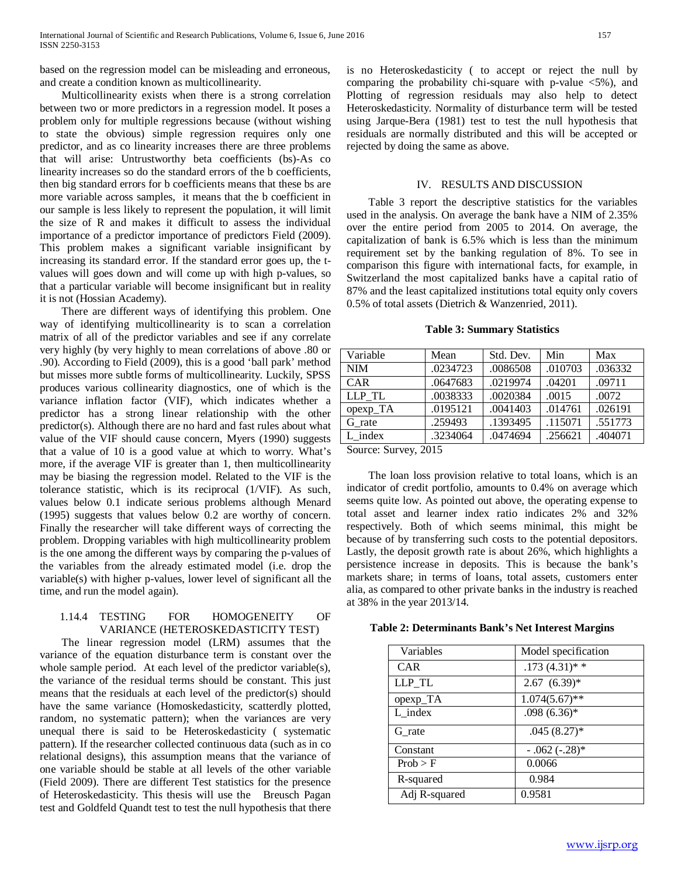based on the regression model can be misleading and erroneous, and create a condition known as multicollinearity.

 Multicollinearity exists when there is a strong correlation between two or more predictors in a regression model. It poses a problem only for multiple regressions because (without wishing to state the obvious) simple regression requires only one predictor, and as co linearity increases there are three problems that will arise: Untrustworthy beta coefficients (bs)-As co linearity increases so do the standard errors of the b coefficients, then big standard errors for b coefficients means that these bs are more variable across samples, it means that the b coefficient in our sample is less likely to represent the population, it will limit the size of R and makes it difficult to assess the individual importance of a predictor importance of predictors Field (2009). This problem makes a significant variable insignificant by increasing its standard error. If the standard error goes up, the tvalues will goes down and will come up with high p-values, so that a particular variable will become insignificant but in reality it is not (Hossian Academy).

 There are different ways of identifying this problem. One way of identifying multicollinearity is to scan a correlation matrix of all of the predictor variables and see if any correlate very highly (by very highly to mean correlations of above .80 or .90). According to Field (2009), this is a good 'ball park' method but misses more subtle forms of multicollinearity. Luckily, SPSS produces various collinearity diagnostics, one of which is the variance inflation factor (VIF), which indicates whether a predictor has a strong linear relationship with the other predictor(s). Although there are no hard and fast rules about what value of the VIF should cause concern, Myers (1990) suggests that a value of 10 is a good value at which to worry. What's more, if the average VIF is greater than 1, then multicollinearity may be biasing the regression model. Related to the VIF is the tolerance statistic, which is its reciprocal (1/VIF). As such, values below 0.1 indicate serious problems although Menard (1995) suggests that values below 0.2 are worthy of concern. Finally the researcher will take different ways of correcting the problem. Dropping variables with high multicollinearity problem is the one among the different ways by comparing the p-values of the variables from the already estimated model (i.e. drop the variable(s) with higher p-values, lower level of significant all the time, and run the model again).

## 1.14.4 TESTING FOR HOMOGENEITY OF VARIANCE (HETEROSKEDASTICITY TEST)

 The linear regression model (LRM) assumes that the variance of the equation disturbance term is constant over the whole sample period.At each level of the predictor variable(s), the variance of the residual terms should be constant. This just means that the residuals at each level of the predictor(s) should have the same variance (Homoskedasticity, scatterdly plotted, random, no systematic pattern); when the variances are very unequal there is said to be Heteroskedasticity ( systematic pattern). If the researcher collected continuous data (such as in co relational designs), this assumption means that the variance of one variable should be stable at all levels of the other variable (Field 2009). There are different Test statistics for the presence of Heteroskedasticity. This thesis will use the Breusch Pagan test and Goldfeld Quandt test to test the null hypothesis that there is no Heteroskedasticity ( to accept or reject the null by comparing the probability chi-square with p-value  $\langle 5\% \rangle$ , and Plotting of regression residuals may also help to detect Heteroskedasticity. Normality of disturbance term will be tested using Jarque-Bera (1981) test to test the null hypothesis that residuals are normally distributed and this will be accepted or rejected by doing the same as above.

# IV. RESULTS AND DISCUSSION

 Table 3 report the descriptive statistics for the variables used in the analysis. On average the bank have a NIM of 2.35% over the entire period from 2005 to 2014. On average, the capitalization of bank is 6.5% which is less than the minimum requirement set by the banking regulation of 8%. To see in comparison this figure with international facts, for example, in Switzerland the most capitalized banks have a capital ratio of 87% and the least capitalized institutions total equity only covers 0.5% of total assets (Dietrich & Wanzenried, 2011).

**Table 3: Summary Statistics**

| Variable                           | Mean     | Std. Dev. | Min     | Max                  |
|------------------------------------|----------|-----------|---------|----------------------|
| <b>NIM</b>                         | .0234723 | .0086508  | .010703 | .036332              |
| CAR                                | .0647683 | .0219974  | .04201  | .09711               |
| LLP TL                             | .0038333 | .0020384  | .0015   | .0072                |
| opexp_TA                           | .0195121 | .0041403  | .014761 | .026191              |
| G rate                             | .259493  | .1393495  | .115071 | $.551\overline{773}$ |
| L index                            | .3234064 | .0474694  | .256621 | .404071              |
| $\bigcap_{1}$<br>$\alpha$ $\alpha$ |          |           |         |                      |

Source: Survey, 2015

 The loan loss provision relative to total loans, which is an indicator of credit portfolio, amounts to 0.4% on average which seems quite low. As pointed out above, the operating expense to total asset and learner index ratio indicates 2% and 32% respectively. Both of which seems minimal, this might be because of by transferring such costs to the potential depositors. Lastly, the deposit growth rate is about 26%, which highlights a persistence increase in deposits. This is because the bank's markets share; in terms of loans, total assets, customers enter alia, as compared to other private banks in the industry is reached at 38% in the year 2013/14.

|  |  | Table 2: Determinants Bank's Net Interest Margins |  |  |  |  |
|--|--|---------------------------------------------------|--|--|--|--|
|--|--|---------------------------------------------------|--|--|--|--|

| Variables        | Model specification |
|------------------|---------------------|
| CAR <sup>.</sup> | $.173(4.31)**$      |
| LLP TL           | $2.67(6.39)*$       |
| opexp_TA         | $1.074(5.67)$ **    |
| L index          | $.098(6.36)*$       |
| $G$ _rate        | $.045(8.27)$ *      |
| Constant         | $-.062(-.28)$       |
| Prob > F         | 0.0066              |
| R-squared        | 0.984               |
| Adj R-squared    | 0.9581              |
|                  |                     |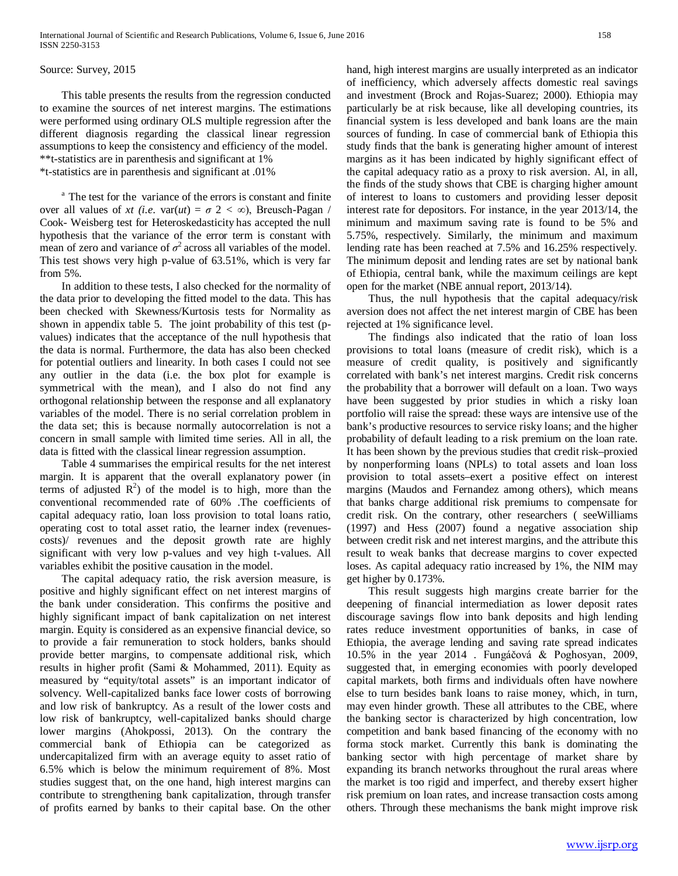## Source: Survey, 2015

 This table presents the results from the regression conducted to examine the sources of net interest margins. The estimations were performed using ordinary OLS multiple regression after the different diagnosis regarding the classical linear regression assumptions to keep the consistency and efficiency of the model. \*\*t-statistics are in parenthesis and significant at 1% \*t-statistics are in parenthesis and significant at .01%

<sup>a</sup> The test for the variance of the errors is constant and finite over all values of *xt* (*i.e.* var(*ut*) =  $\sigma$  2 <  $\infty$ ), Breusch-Pagan / Cook- Weisberg test for Heteroskedasticity has accepted the null

hypothesis that the variance of the error term is constant with mean of zero and variance of  $\sigma^2$  across all variables of the model. This test shows very high p-value of 63.51%, which is very far from 5%.

 In addition to these tests, I also checked for the normality of the data prior to developing the fitted model to the data. This has been checked with Skewness/Kurtosis tests for Normality as shown in appendix table 5. The joint probability of this test (pvalues) indicates that the acceptance of the null hypothesis that the data is normal. Furthermore, the data has also been checked for potential outliers and linearity. In both cases I could not see any outlier in the data (i.e. the box plot for example is symmetrical with the mean), and I also do not find any orthogonal relationship between the response and all explanatory variables of the model. There is no serial correlation problem in the data set; this is because normally autocorrelation is not a concern in small sample with limited time series. All in all, the data is fitted with the classical linear regression assumption.

 Table 4 summarises the empirical results for the net interest margin. It is apparent that the overall explanatory power (in terms of adjusted  $R^2$ ) of the model is to high, more than the conventional recommended rate of 60% .The coefficients of capital adequacy ratio, loan loss provision to total loans ratio, operating cost to total asset ratio, the learner index (revenuescosts)/ revenues and the deposit growth rate are highly significant with very low p-values and vey high t-values. All variables exhibit the positive causation in the model.

 The capital adequacy ratio, the risk aversion measure, is positive and highly significant effect on net interest margins of the bank under consideration. This confirms the positive and highly significant impact of bank capitalization on net interest margin. Equity is considered as an expensive financial device, so to provide a fair remuneration to stock holders, banks should provide better margins, to compensate additional risk, which results in higher profit (Sami & Mohammed, 2011). Equity as measured by "equity/total assets" is an important indicator of solvency. Well-capitalized banks face lower costs of borrowing and low risk of bankruptcy. As a result of the lower costs and low risk of bankruptcy, well-capitalized banks should charge lower margins (Ahokpossi, 2013). On the contrary the commercial bank of Ethiopia can be categorized as undercapitalized firm with an average equity to asset ratio of 6.5% which is below the minimum requirement of 8%. Most studies suggest that, on the one hand, high interest margins can contribute to strengthening bank capitalization, through transfer of profits earned by banks to their capital base. On the other hand, high interest margins are usually interpreted as an indicator of inefficiency, which adversely affects domestic real savings and investment (Brock and Rojas-Suarez; 2000). Ethiopia may particularly be at risk because, like all developing countries, its financial system is less developed and bank loans are the main sources of funding. In case of commercial bank of Ethiopia this study finds that the bank is generating higher amount of interest margins as it has been indicated by highly significant effect of the capital adequacy ratio as a proxy to risk aversion. Al, in all, the finds of the study shows that CBE is charging higher amount of interest to loans to customers and providing lesser deposit interest rate for depositors. For instance, in the year 2013/14, the minimum and maximum saving rate is found to be 5% and 5.75%, respectively. Similarly, the minimum and maximum lending rate has been reached at 7.5% and 16.25% respectively. The minimum deposit and lending rates are set by national bank of Ethiopia, central bank, while the maximum ceilings are kept open for the market (NBE annual report, 2013/14).

 Thus, the null hypothesis that the capital adequacy/risk aversion does not affect the net interest margin of CBE has been rejected at 1% significance level.

 The findings also indicated that the ratio of loan loss provisions to total loans (measure of credit risk), which is a measure of credit quality, is positively and significantly correlated with bank's net interest margins. Credit risk concerns the probability that a borrower will default on a loan. Two ways have been suggested by prior studies in which a risky loan portfolio will raise the spread: these ways are intensive use of the bank's productive resources to service risky loans; and the higher probability of default leading to a risk premium on the loan rate. It has been shown by the previous studies that credit risk–proxied by nonperforming loans (NPLs) to total assets and loan loss provision to total assets–exert a positive effect on interest margins (Maudos and Fernandez among others), which means that banks charge additional risk premiums to compensate for credit risk. On the contrary, other researchers ( seeWilliams (1997) and Hess (2007) found a negative association ship between credit risk and net interest margins, and the attribute this result to weak banks that decrease margins to cover expected loses. As capital adequacy ratio increased by 1%, the NIM may get higher by 0.173%.

 This result suggests high margins create barrier for the deepening of financial intermediation as lower deposit rates discourage savings flow into bank deposits and high lending rates reduce investment opportunities of banks, in case of Ethiopia, the average lending and saving rate spread indicates 10.5% in the year 2014 . Fungáčová & Poghosyan, 2009, suggested that, in emerging economies with poorly developed capital markets, both firms and individuals often have nowhere else to turn besides bank loans to raise money, which, in turn, may even hinder growth. These all attributes to the CBE, where the banking sector is characterized by high concentration, low competition and bank based financing of the economy with no forma stock market. Currently this bank is dominating the banking sector with high percentage of market share by expanding its branch networks throughout the rural areas where the market is too rigid and imperfect, and thereby exsert higher risk premium on loan rates, and increase transaction costs among others. Through these mechanisms the bank might improve risk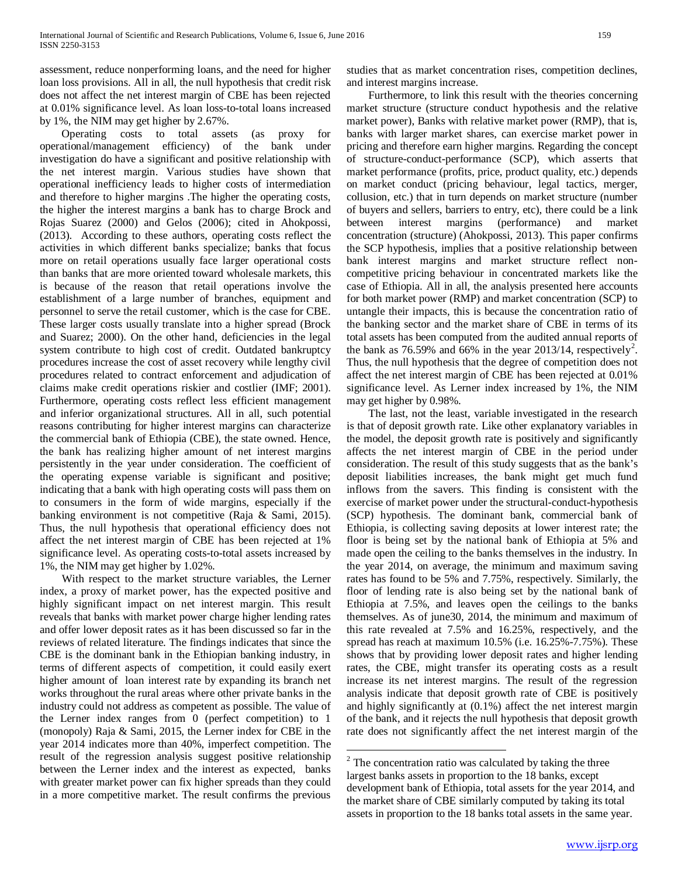assessment, reduce nonperforming loans, and the need for higher loan loss provisions. All in all, the null hypothesis that credit risk does not affect the net interest margin of CBE has been rejected at 0.01% significance level. As loan loss-to-total loans increased by 1%, the NIM may get higher by 2.67%.

 Operating costs to total assets (as proxy for operational/management efficiency) of the bank under investigation do have a significant and positive relationship with the net interest margin. Various studies have shown that operational inefficiency leads to higher costs of intermediation and therefore to higher margins .The higher the operating costs, the higher the interest margins a bank has to charge Brock and Rojas Suarez (2000) and Gelos (2006); cited in Ahokpossi, (2013). According to these authors, operating costs reflect the activities in which different banks specialize; banks that focus more on retail operations usually face larger operational costs than banks that are more oriented toward wholesale markets, this is because of the reason that retail operations involve the establishment of a large number of branches, equipment and personnel to serve the retail customer, which is the case for CBE. These larger costs usually translate into a higher spread (Brock and Suarez; 2000). On the other hand, deficiencies in the legal system contribute to high cost of credit. Outdated bankruptcy procedures increase the cost of asset recovery while lengthy civil procedures related to contract enforcement and adjudication of claims make credit operations riskier and costlier (IMF; 2001). Furthermore, operating costs reflect less efficient management and inferior organizational structures. All in all, such potential reasons contributing for higher interest margins can characterize the commercial bank of Ethiopia (CBE), the state owned. Hence, the bank has realizing higher amount of net interest margins persistently in the year under consideration. The coefficient of the operating expense variable is significant and positive; indicating that a bank with high operating costs will pass them on to consumers in the form of wide margins, especially if the banking environment is not competitive (Raja & Sami, 2015). Thus, the null hypothesis that operational efficiency does not affect the net interest margin of CBE has been rejected at 1% significance level. As operating costs-to-total assets increased by 1%, the NIM may get higher by 1.02%.

 With respect to the market structure variables, the Lerner index, a proxy of market power, has the expected positive and highly significant impact on net interest margin. This result reveals that banks with market power charge higher lending rates and offer lower deposit rates as it has been discussed so far in the reviews of related literature. The findings indicates that since the CBE is the dominant bank in the Ethiopian banking industry, in terms of different aspects of competition, it could easily exert higher amount of loan interest rate by expanding its branch net works throughout the rural areas where other private banks in the industry could not address as competent as possible. The value of the Lerner index ranges from 0 (perfect competition) to 1 (monopoly) Raja & Sami, 2015, the Lerner index for CBE in the year 2014 indicates more than 40%, imperfect competition. The result of the regression analysis suggest positive relationship between the Lerner index and the interest as expected, banks with greater market power can fix higher spreads than they could in a more competitive market. The result confirms the previous studies that as market concentration rises, competition declines, and interest margins increase.

 Furthermore, to link this result with the theories concerning market structure (structure conduct hypothesis and the relative market power), Banks with relative market power (RMP), that is, banks with larger market shares, can exercise market power in pricing and therefore earn higher margins. Regarding the concept of structure-conduct-performance (SCP), which asserts that market performance (profits, price, product quality, etc.) depends on market conduct (pricing behaviour, legal tactics, merger, collusion, etc.) that in turn depends on market structure (number of buyers and sellers, barriers to entry, etc), there could be a link between interest margins (performance) and market concentration (structure) (Ahokpossi, 2013). This paper confirms the SCP hypothesis, implies that a positive relationship between bank interest margins and market structure reflect noncompetitive pricing behaviour in concentrated markets like the case of Ethiopia. All in all, the analysis presented here accounts for both market power (RMP) and market concentration (SCP) to untangle their impacts, this is because the concentration ratio of the banking sector and the market share of CBE in terms of its total assets has been computed from the audited annual reports of the bank as 76.59% and 66% in the year [2](#page-1-0)013/14, respectively<sup>2</sup>. Thus, the null hypothesis that the degree of competition does not affect the net interest margin of CBE has been rejected at 0.01% significance level. As Lerner index increased by 1%, the NIM may get higher by 0.98%.

 The last, not the least, variable investigated in the research is that of deposit growth rate. Like other explanatory variables in the model, the deposit growth rate is positively and significantly affects the net interest margin of CBE in the period under consideration. The result of this study suggests that as the bank's deposit liabilities increases, the bank might get much fund inflows from the savers. This finding is consistent with the exercise of market power under the structural-conduct-hypothesis (SCP) hypothesis. The dominant bank, commercial bank of Ethiopia, is collecting saving deposits at lower interest rate; the floor is being set by the national bank of Ethiopia at 5% and made open the ceiling to the banks themselves in the industry. In the year 2014, on average, the minimum and maximum saving rates has found to be 5% and 7.75%, respectively. Similarly, the floor of lending rate is also being set by the national bank of Ethiopia at 7.5%, and leaves open the ceilings to the banks themselves. As of june30, 2014, the minimum and maximum of this rate revealed at 7.5% and 16.25%, respectively, and the spread has reach at maximum 10.5% (i.e. 16.25%-7.75%). These shows that by providing lower deposit rates and higher lending rates, the CBE, might transfer its operating costs as a result increase its net interest margins. The result of the regression analysis indicate that deposit growth rate of CBE is positively and highly significantly at (0.1%) affect the net interest margin of the bank, and it rejects the null hypothesis that deposit growth rate does not significantly affect the net interest margin of the

 $2$  The concentration ratio was calculated by taking the three largest banks assets in proportion to the 18 banks, except development bank of Ethiopia, total assets for the year 2014, and the market share of CBE similarly computed by taking its total assets in proportion to the 18 banks total assets in the same year.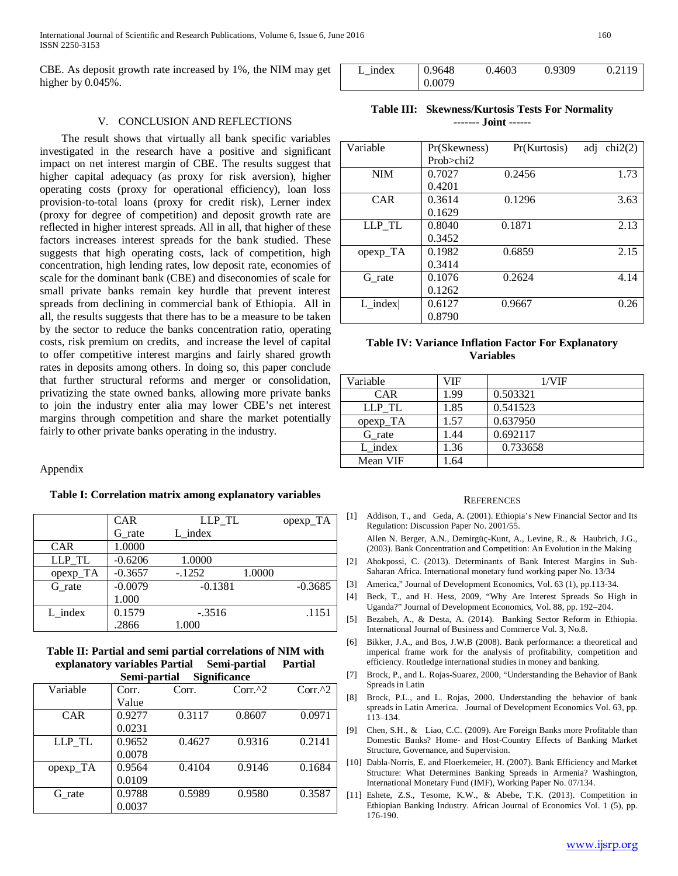International Journal of Scientific and Research Publications, Volume 6, Issue 6, June 2016 160 ISSN 2250-3153

CBE. As deposit growth rate increased by 1%, the NIM may get higher by  $0.045%$ .

| L index | 0.9648 | 0.4603 | 0.9309 | 0.2119 |
|---------|--------|--------|--------|--------|
|         | 0.0079 |        |        |        |

## V. CONCLUSION AND REFLECTIONS

 The result shows that virtually all bank specific variables investigated in the research have a positive and significant impact on net interest margin of CBE. The results suggest that higher capital adequacy (as proxy for risk aversion), higher operating costs (proxy for operational efficiency), loan loss provision-to-total loans (proxy for credit risk), Lerner index (proxy for degree of competition) and deposit growth rate are reflected in higher interest spreads. All in all, that higher of these factors increases interest spreads for the bank studied. These suggests that high operating costs, lack of competition, high concentration, high lending rates, low deposit rate, economies of scale for the dominant bank (CBE) and diseconomies of scale for small private banks remain key hurdle that prevent interest spreads from declining in commercial bank of Ethiopia. All in all, the results suggests that there has to be a measure to be taken by the sector to reduce the banks concentration ratio, operating costs, risk premium on credits, and increase the level of capital to offer competitive interest margins and fairly shared growth rates in deposits among others. In doing so, this paper conclude that further structural reforms and merger or consolidation, privatizing the state owned banks, allowing more private banks to join the industry enter alia may lower CBE's net interest margins through competition and share the market potentially fairly to other private banks operating in the industry.

Appendix

#### **Table I: Correlation matrix among explanatory variables**

|            | <b>CAR</b> | LLP TL    | opexp_TA  |
|------------|------------|-----------|-----------|
|            | G rate     | L index   |           |
| <b>CAR</b> | 1.0000     |           |           |
| LLP TL     | $-0.6206$  | 1.0000    |           |
| opexp_TA   | $-0.3657$  | $-.1252$  | 1.0000    |
| G rate     | $-0.0079$  | $-0.1381$ | $-0.3685$ |
|            | 1.000      |           |           |
| L index    | 0.1579     | $-.3516$  | .1151     |
|            | .2866      | 1.000     |           |

### **Table II: Partial and semi partial correlations of NIM with explanatory variables Partial Semi-partial Partial Semi-partial Significance**

| <b>DUMI DULUM</b><br>$\mathbf{u}$ |        |        |           |           |
|-----------------------------------|--------|--------|-----------|-----------|
| Variable                          | Corr.  | Corr.  | $Corr.^2$ | $Corr.^2$ |
|                                   | Value  |        |           |           |
| <b>CAR</b>                        | 0.9277 | 0.3117 | 0.8607    | 0.0971    |
|                                   | 0.0231 |        |           |           |
| LLP TL                            | 0.9652 | 0.4627 | 0.9316    | 0.2141    |
|                                   | 0.0078 |        |           |           |
| opexp_TA                          | 0.9564 | 0.4104 | 0.9146    | 0.1684    |
|                                   | 0.0109 |        |           |           |
| G rate                            | 0.9788 | 0.5989 | 0.9580    | 0.3587    |
|                                   | 0.0037 |        |           |           |

**Table III: Skewness/Kurtosis Tests For Normality ------- Joint ------**

| Variable   | Pr(Skewness) | Pr(Kurtosis) | chi2(2)<br>adi |
|------------|--------------|--------------|----------------|
|            | Prob>chi2    |              |                |
| <b>NIM</b> | 0.7027       | 0.2456       | 1.73           |
|            | 0.4201       |              |                |
| <b>CAR</b> | 0.3614       | 0.1296       | 3.63           |
|            | 0.1629       |              |                |
| LLP_TL     | 0.8040       | 0.1871       | 2.13           |
|            | 0.3452       |              |                |
| opexp_TA   | 0.1982       | 0.6859       | 2.15           |
|            | 0.3414       |              |                |
| G rate     | 0.1076       | 0.2624       | 4.14           |
|            | 0.1262       |              |                |
| $L$ index  | 0.6127       | 0.9667       | 0.26           |
|            | 0.8790       |              |                |

## **Table IV: Variance Inflation Factor For Explanatory Variables**

| Variable   | VIF  | 1/VIF    |
|------------|------|----------|
| <b>CAR</b> | 1.99 | 0.503321 |
| LLP TL     | 1.85 | 0.541523 |
| $opexp_TA$ | 1.57 | 0.637950 |
| G rate     | 1.44 | 0.692117 |
| $L$ index  | 1.36 | 0.733658 |
| Mean VIF   | 1.64 |          |

#### **REFERENCES**

- [1] Addison, T., and Geda, A. (2001). Ethiopia's New Financial Sector and Its Regulation: Discussion Paper No. 2001/55.
	- Allen N. Berger, A.N., Demirgüç-Kunt, A., Levine, R., & Haubrich, J.G., (2003). Bank Concentration and Competition: An Evolution in the Making
- [2] Ahokpossi, C. (2013). Determinants of Bank Interest Margins in Sub-Saharan Africa. International monetary fund working paper No. 13/34
- [3] America," Journal of Development Economics, Vol. 63 (1), pp.113-34.
- [4] Beck, T., and H. Hess, 2009, "Why Are Interest Spreads So High in Uganda?" Journal of Development Economics, Vol. 88, pp. 192–204.
- [5] Bezabeh, A., & Desta, A. (2014). Banking Sector Reform in Ethiopia. International Journal of Business and Commerce Vol. 3, No.8.
- [6] Bikker, J.A., and Bos, J.W.B (2008). Bank performance: a theoretical and imperical frame work for the analysis of profitability, competition and efficiency. Routledge international studies in money and banking.
- [7] Brock, P., and L. Rojas-Suarez, 2000, "Understanding the Behavior of Bank Spreads in Latin
- [8] Brock, P.L., and L. Rojas, 2000. Understanding the behavior of bank spreads in Latin America. Journal of Development Economics Vol. 63, pp. 113–134.
- [9] Chen, S.H., & Liao, C.C. (2009). Are Foreign Banks more Profitable than Domestic Banks? Home- and Host-Country Effects of Banking Market Structure, Governance, and Supervision.
- [10] Dabla-Norris, E. and Floerkemeier, H. (2007). Bank Efficiency and Market Structure: What Determines Banking Spreads in Armenia? Washington, International Monetary Fund (IMF), Working Paper No. 07/134.
- [11] Eshete, Z.S., Tesome, K.W., & Abebe, T.K. (2013). Competition in Ethiopian Banking Industry. African Journal of Economics Vol. 1 (5), pp. 176-190.